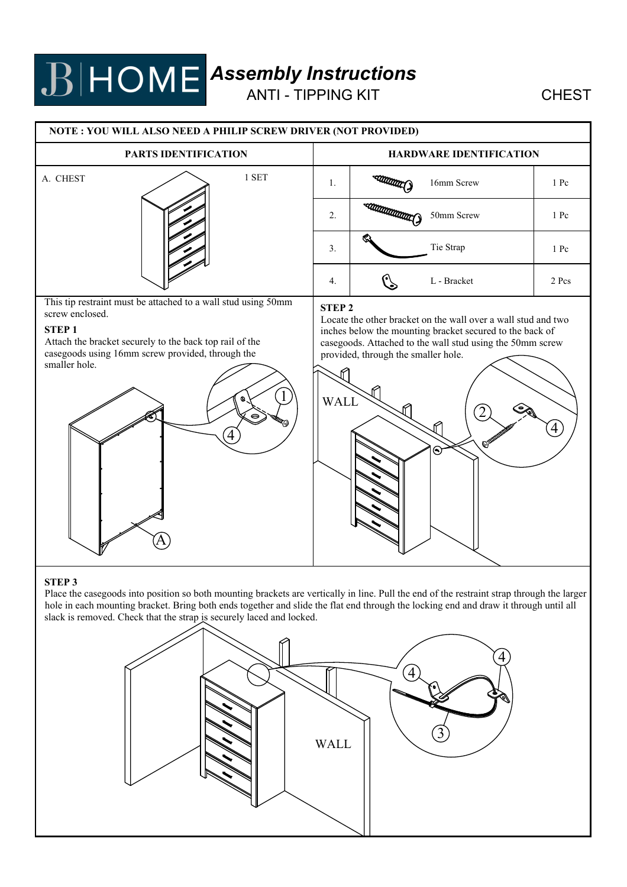## *Assembly Instructions*

ANTI - TIPPING KIT CHEST

#### **NOTE : YOU WILL ALSO NEED A PHILIP SCREW DRIVER (NOT PROVIDED) PARTS IDENTIFICATION HARDWARE IDENTIFICATION** A. CHEST 1 SET Command) 1. 16mm Screw 1 Pc **Communication** 2. 50mm Screw 1 Pc 3. Tie Strap 1 Pc  $\mathbb{C}$ 4. L - Bracket 2 Pcs This tip restraint must be attached to a wall stud using 50mm **STEP 2** screw enclosed. Locate the other bracket on the wall over a wall stud and two **STEP 1** inches below the mounting bracket secured to the back of Attach the bracket securely to the back top rail of the casegoods. Attached to the wall stud using the 50mm screw casegoods using 16mm screw provided, through the provided, through the smaller hole. smaller hole.  $1)$  WALL  $2)$  and 4) / | 4) /  $(A)$

### **STEP 3**

Place the casegoods into position so both mounting brackets are vertically in line. Pull the end of the restraint strap through the larger hole in each mounting bracket. Bring both ends together and slide the flat end through the locking end and draw it through until all slack is removed. Check that the strap is securely laced and locked.